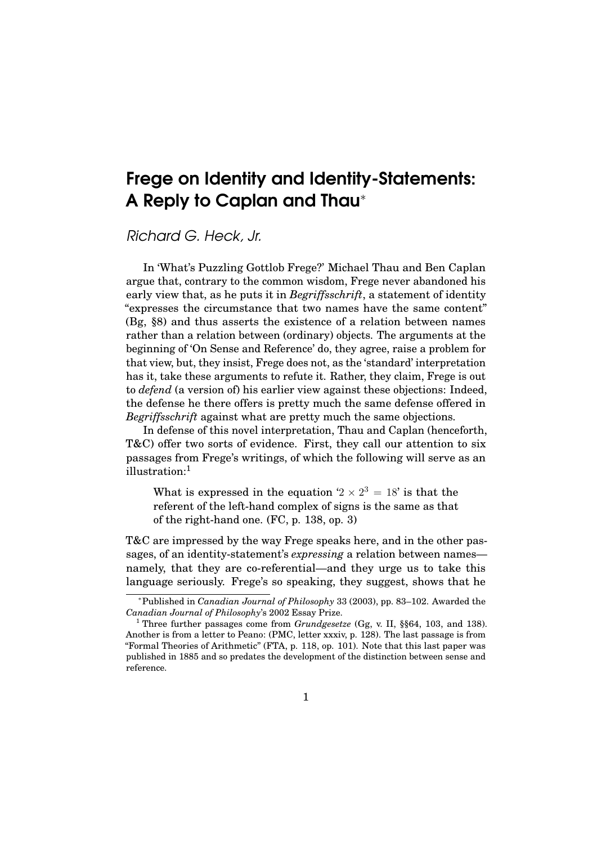# Frege on Identity and Identity-Statements: A Reply to Caplan and Thau<sup>∗</sup>

Richard G. Heck, Jr.

In 'What's Puzzling Gottlob Frege?' Michael Thau and Ben Caplan argue that, contrary to the common wisdom, Frege never abandoned his early view that, as he puts it in *Begriffsschrift*, a statement of identity "expresses the circumstance that two names have the same content" (Bg, §8) and thus asserts the existence of a relation between names rather than a relation between (ordinary) objects. The arguments at the beginning of 'On Sense and Reference' do, they agree, raise a problem for that view, but, they insist, Frege does not, as the 'standard' interpretation has it, take these arguments to refute it. Rather, they claim, Frege is out to *defend* (a version of) his earlier view against these objections: Indeed, the defense he there offers is pretty much the same defense offered in *Begriffsschrift* against what are pretty much the same objections.

In defense of this novel interpretation, Thau and Caplan (henceforth, T&C) offer two sorts of evidence. First, they call our attention to six passages from Frege's writings, of which the following will serve as an illustration:<sup>1</sup>

What is expressed in the equation  $2 \times 2^3 = 18$  is that the referent of the left-hand complex of signs is the same as that of the right-hand one. (FC, p. 138, op. 3)

T&C are impressed by the way Frege speaks here, and in the other passages, of an identity-statement's *expressing* a relation between names namely, that they are co-referential—and they urge us to take this language seriously. Frege's so speaking, they suggest, shows that he

<sup>∗</sup>Published in *Canadian Journal of Philosophy* 33 (2003), pp. 83–102. Awarded the *Canadian Journal of Philosophy*'s 2002 Essay Prize.

<sup>1</sup> Three further passages come from *Grundgesetze* (Gg, v. II, §§64, 103, and 138). Another is from a letter to Peano: (PMC, letter xxxiv, p. 128). The last passage is from "Formal Theories of Arithmetic" (FTA, p. 118, op. 101). Note that this last paper was published in 1885 and so predates the development of the distinction between sense and reference.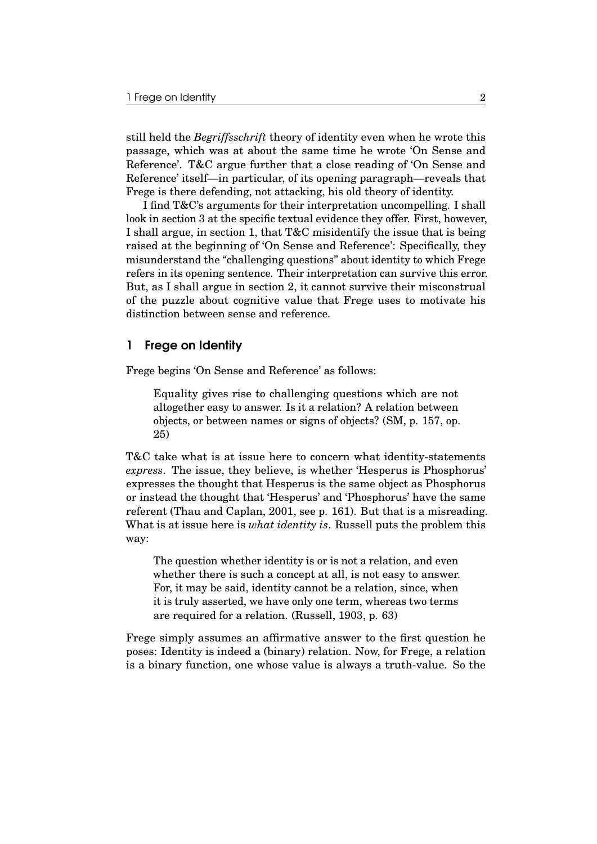still held the *Begriffsschrift* theory of identity even when he wrote this passage, which was at about the same time he wrote 'On Sense and Reference'. T&C argue further that a close reading of 'On Sense and Reference' itself—in particular, of its opening paragraph—reveals that Frege is there defending, not attacking, his old theory of identity.

I find T&C's arguments for their interpretation uncompelling. I shall look in section 3 at the specific textual evidence they offer. First, however, I shall argue, in section 1, that T&C misidentify the issue that is being raised at the beginning of 'On Sense and Reference': Specifically, they misunderstand the "challenging questions" about identity to which Frege refers in its opening sentence. Their interpretation can survive this error. But, as I shall argue in section 2, it cannot survive their misconstrual of the puzzle about cognitive value that Frege uses to motivate his distinction between sense and reference.

## 1 Frege on Identity

Frege begins 'On Sense and Reference' as follows:

Equality gives rise to challenging questions which are not altogether easy to answer. Is it a relation? A relation between objects, or between names or signs of objects? (SM, p. 157, op. 25)

T&C take what is at issue here to concern what identity-statements *express*. The issue, they believe, is whether 'Hesperus is Phosphorus' expresses the thought that Hesperus is the same object as Phosphorus or instead the thought that 'Hesperus' and 'Phosphorus' have the same referent (Thau and Caplan, 2001, see p. 161). But that is a misreading. What is at issue here is *what identity is*. Russell puts the problem this way:

The question whether identity is or is not a relation, and even whether there is such a concept at all, is not easy to answer. For, it may be said, identity cannot be a relation, since, when it is truly asserted, we have only one term, whereas two terms are required for a relation. (Russell, 1903, p. 63)

Frege simply assumes an affirmative answer to the first question he poses: Identity is indeed a (binary) relation. Now, for Frege, a relation is a binary function, one whose value is always a truth-value. So the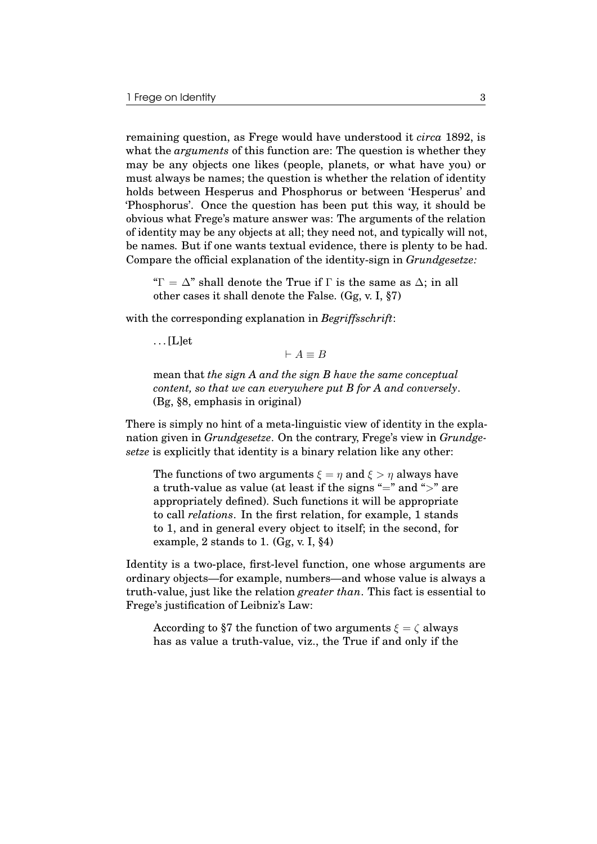remaining question, as Frege would have understood it *circa* 1892, is what the *arguments* of this function are: The question is whether they may be any objects one likes (people, planets, or what have you) or must always be names; the question is whether the relation of identity holds between Hesperus and Phosphorus or between 'Hesperus' and 'Phosphorus'. Once the question has been put this way, it should be obvious what Frege's mature answer was: The arguments of the relation of identity may be any objects at all; they need not, and typically will not, be names. But if one wants textual evidence, there is plenty to be had. Compare the official explanation of the identity-sign in *Grundgesetze:*

" $\Gamma = \Delta$ " shall denote the True if  $\Gamma$  is the same as  $\Delta$ ; in all other cases it shall denote the False. (Gg, v. I, §7)

with the corresponding explanation in *Begriffsschrift*:

. . . [L]et

 $\vdash A \equiv B$ 

mean that *the sign A and the sign B have the same conceptual content, so that we can everywhere put B for A and conversely*. (Bg, §8, emphasis in original)

There is simply no hint of a meta-linguistic view of identity in the explanation given in *Grundgesetze*. On the contrary, Frege's view in *Grundgesetze* is explicitly that identity is a binary relation like any other:

The functions of two arguments  $\xi = \eta$  and  $\xi > \eta$  always have a truth-value as value (at least if the signs "=" and " $>$ " are appropriately defined). Such functions it will be appropriate to call *relations*. In the first relation, for example, 1 stands to 1, and in general every object to itself; in the second, for example, 2 stands to 1.  $(Gg, v, I, §4)$ 

Identity is a two-place, first-level function, one whose arguments are ordinary objects—for example, numbers—and whose value is always a truth-value, just like the relation *greater than*. This fact is essential to Frege's justification of Leibniz's Law:

According to §7 the function of two arguments  $\xi = \zeta$  always has as value a truth-value, viz., the True if and only if the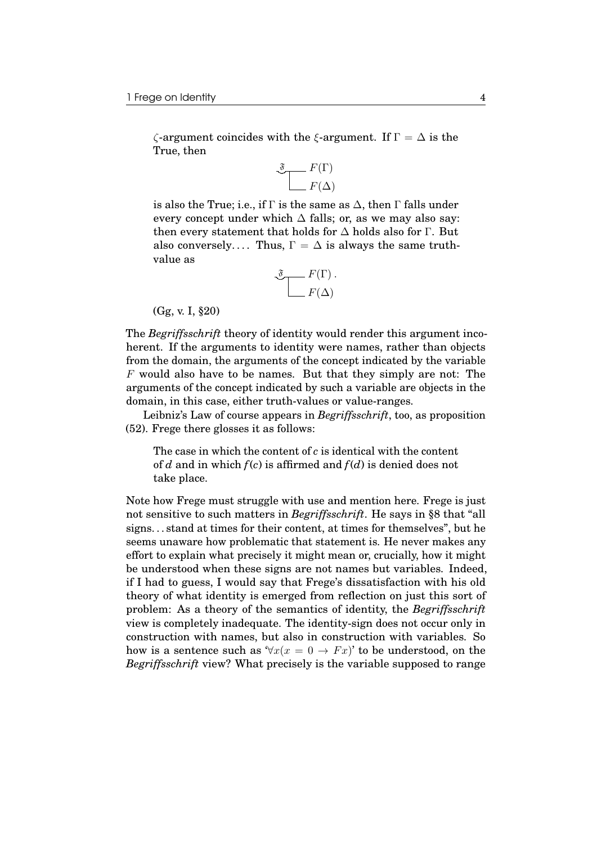$\zeta$ -argument coincides with the  $\xi$ -argument. If  $\Gamma = \Delta$  is the True, then

$$
\underbrace{\mathfrak{F}}_{F(\Delta)}
$$

is also the True; i.e., if  $\Gamma$  is the same as  $\Delta$ , then  $\Gamma$  falls under every concept under which  $\Delta$  falls; or, as we may also say: then every statement that holds for  $\Delta$  holds also for Γ. But also conversely.... Thus,  $\Gamma = \Delta$  is always the same truthvalue as

$$
\underbrace{\mathfrak{F}}_{F(\Delta)} F(\Gamma).
$$

(Gg, v. I, §20)

The *Begriffsschrift* theory of identity would render this argument incoherent. If the arguments to identity were names, rather than objects from the domain, the arguments of the concept indicated by the variable F would also have to be names. But that they simply are not: The arguments of the concept indicated by such a variable are objects in the domain, in this case, either truth-values or value-ranges.

Leibniz's Law of course appears in *Begriffsschrift*, too, as proposition (52). Frege there glosses it as follows:

The case in which the content of *c* is identical with the content of *d* and in which *f*(*c*) is affirmed and *f*(*d*) is denied does not take place.

Note how Frege must struggle with use and mention here. Frege is just not sensitive to such matters in *Begriffsschrift*. He says in §8 that "all signs. . . stand at times for their content, at times for themselves", but he seems unaware how problematic that statement is. He never makes any effort to explain what precisely it might mean or, crucially, how it might be understood when these signs are not names but variables. Indeed, if I had to guess, I would say that Frege's dissatisfaction with his old theory of what identity is emerged from reflection on just this sort of problem: As a theory of the semantics of identity, the *Begriffsschrift* view is completely inadequate. The identity-sign does not occur only in construction with names, but also in construction with variables. So how is a sentence such as  $\forall x(x = 0 \rightarrow Fx)'$  to be understood, on the *Begriffsschrift* view? What precisely is the variable supposed to range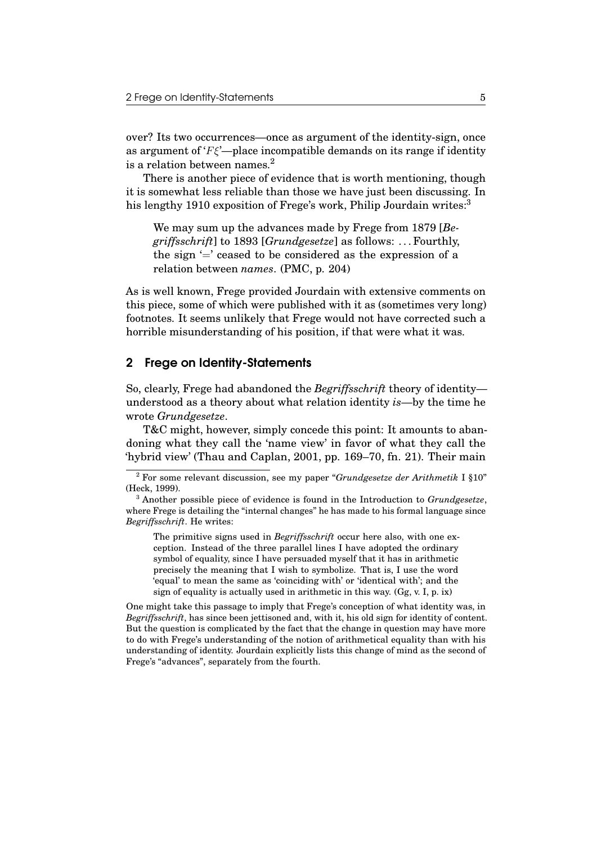over? Its two occurrences—once as argument of the identity-sign, once as argument of ' $F\xi$ '—place incompatible demands on its range if identity is a relation between names. $<sup>2</sup>$ </sup>

There is another piece of evidence that is worth mentioning, though it is somewhat less reliable than those we have just been discussing. In his lengthy 1910 exposition of Frege's work, Philip Jourdain writes:<sup>3</sup>

We may sum up the advances made by Frege from 1879 [*Begriffsschrift*] to 1893 [*Grundgesetze*] as follows: . . . Fourthly, the sign  $\equiv$  ceased to be considered as the expression of a relation between *names*. (PMC, p. 204)

As is well known, Frege provided Jourdain with extensive comments on this piece, some of which were published with it as (sometimes very long) footnotes. It seems unlikely that Frege would not have corrected such a horrible misunderstanding of his position, if that were what it was.

#### 2 Frege on Identity-Statements

So, clearly, Frege had abandoned the *Begriffsschrift* theory of identity understood as a theory about what relation identity *is*—by the time he wrote *Grundgesetze*.

T&C might, however, simply concede this point: It amounts to abandoning what they call the 'name view' in favor of what they call the 'hybrid view' (Thau and Caplan, 2001, pp. 169–70, fn. 21). Their main

The primitive signs used in *Begriffsschrift* occur here also, with one exception. Instead of the three parallel lines I have adopted the ordinary symbol of equality, since I have persuaded myself that it has in arithmetic precisely the meaning that I wish to symbolize. That is, I use the word 'equal' to mean the same as 'coinciding with' or 'identical with'; and the sign of equality is actually used in arithmetic in this way. (Gg, v. I, p. ix)

One might take this passage to imply that Frege's conception of what identity was, in *Begriffsschrift*, has since been jettisoned and, with it, his old sign for identity of content. But the question is complicated by the fact that the change in question may have more to do with Frege's understanding of the notion of arithmetical equality than with his understanding of identity. Jourdain explicitly lists this change of mind as the second of Frege's "advances", separately from the fourth.

<sup>2</sup> For some relevant discussion, see my paper "*Grundgesetze der Arithmetik* I §10" (Heck, 1999).

<sup>3</sup> Another possible piece of evidence is found in the Introduction to *Grundgesetze*, where Frege is detailing the "internal changes" he has made to his formal language since *Begriffsschrift*. He writes: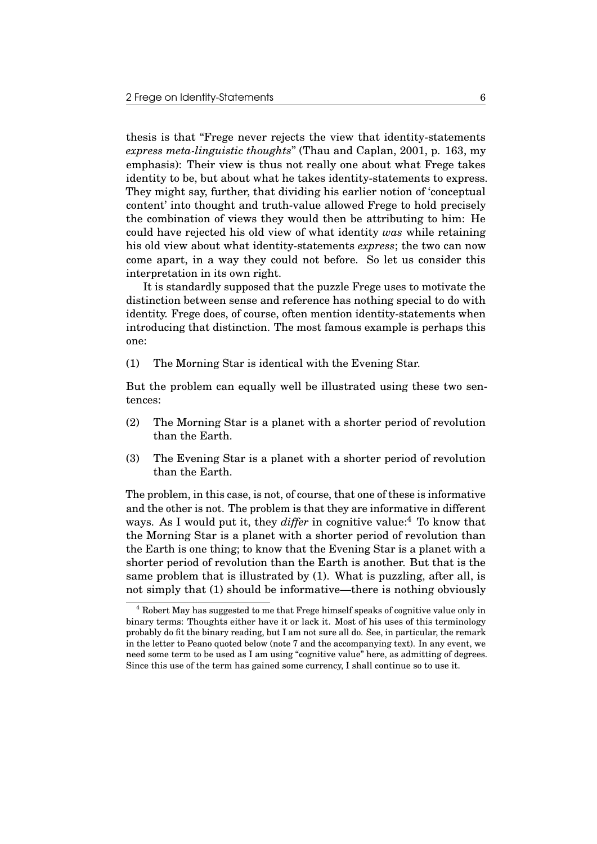thesis is that "Frege never rejects the view that identity-statements *express meta-linguistic thoughts*" (Thau and Caplan, 2001, p. 163, my emphasis): Their view is thus not really one about what Frege takes identity to be, but about what he takes identity-statements to express. They might say, further, that dividing his earlier notion of 'conceptual content' into thought and truth-value allowed Frege to hold precisely the combination of views they would then be attributing to him: He could have rejected his old view of what identity *was* while retaining his old view about what identity-statements *express*; the two can now come apart, in a way they could not before. So let us consider this interpretation in its own right.

It is standardly supposed that the puzzle Frege uses to motivate the distinction between sense and reference has nothing special to do with identity. Frege does, of course, often mention identity-statements when introducing that distinction. The most famous example is perhaps this one:

(1) The Morning Star is identical with the Evening Star.

But the problem can equally well be illustrated using these two sentences:

- (2) The Morning Star is a planet with a shorter period of revolution than the Earth.
- (3) The Evening Star is a planet with a shorter period of revolution than the Earth.

The problem, in this case, is not, of course, that one of these is informative and the other is not. The problem is that they are informative in different ways. As I would put it, they *differ* in cognitive value:<sup>4</sup> To know that the Morning Star is a planet with a shorter period of revolution than the Earth is one thing; to know that the Evening Star is a planet with a shorter period of revolution than the Earth is another. But that is the same problem that is illustrated by (1). What is puzzling, after all, is not simply that (1) should be informative—there is nothing obviously

<sup>4</sup> Robert May has suggested to me that Frege himself speaks of cognitive value only in binary terms: Thoughts either have it or lack it. Most of his uses of this terminology probably do fit the binary reading, but I am not sure all do. See, in particular, the remark in the letter to Peano quoted below (note 7 and the accompanying text). In any event, we need some term to be used as I am using "cognitive value" here, as admitting of degrees. Since this use of the term has gained some currency, I shall continue so to use it.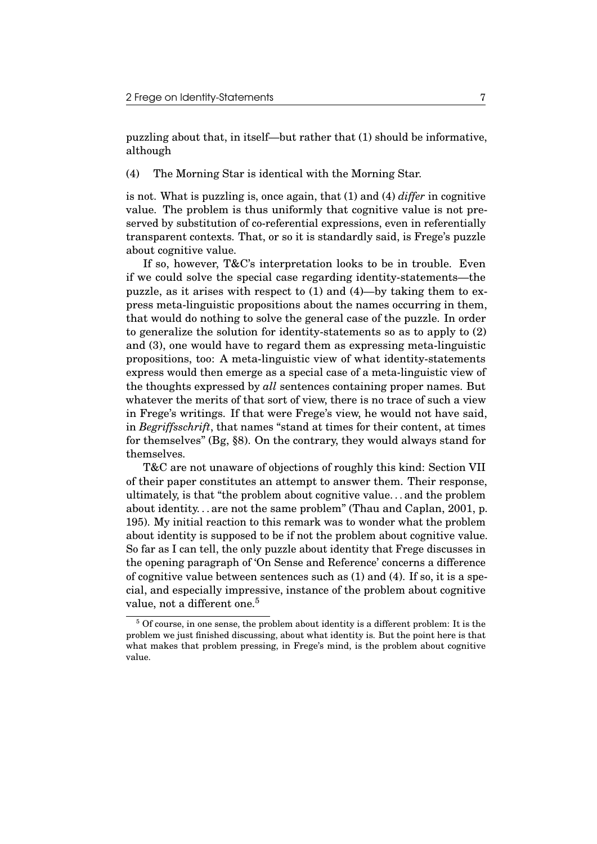puzzling about that, in itself—but rather that (1) should be informative, although

(4) The Morning Star is identical with the Morning Star.

is not. What is puzzling is, once again, that (1) and (4) *differ* in cognitive value. The problem is thus uniformly that cognitive value is not preserved by substitution of co-referential expressions, even in referentially transparent contexts. That, or so it is standardly said, is Frege's puzzle about cognitive value.

If so, however, T&C's interpretation looks to be in trouble. Even if we could solve the special case regarding identity-statements—the puzzle, as it arises with respect to (1) and (4)—by taking them to express meta-linguistic propositions about the names occurring in them, that would do nothing to solve the general case of the puzzle. In order to generalize the solution for identity-statements so as to apply to (2) and (3), one would have to regard them as expressing meta-linguistic propositions, too: A meta-linguistic view of what identity-statements express would then emerge as a special case of a meta-linguistic view of the thoughts expressed by *all* sentences containing proper names. But whatever the merits of that sort of view, there is no trace of such a view in Frege's writings. If that were Frege's view, he would not have said, in *Begriffsschrift*, that names "stand at times for their content, at times for themselves" (Bg, §8). On the contrary, they would always stand for themselves.

T&C are not unaware of objections of roughly this kind: Section VII of their paper constitutes an attempt to answer them. Their response, ultimately, is that "the problem about cognitive value. . . and the problem about identity. . . are not the same problem" (Thau and Caplan, 2001, p. 195). My initial reaction to this remark was to wonder what the problem about identity is supposed to be if not the problem about cognitive value. So far as I can tell, the only puzzle about identity that Frege discusses in the opening paragraph of 'On Sense and Reference' concerns a difference of cognitive value between sentences such as  $(1)$  and  $(4)$ . If so, it is a special, and especially impressive, instance of the problem about cognitive value, not a different one.<sup>5</sup>

<sup>5</sup> Of course, in one sense, the problem about identity is a different problem: It is the problem we just finished discussing, about what identity is. But the point here is that what makes that problem pressing, in Frege's mind, is the problem about cognitive value.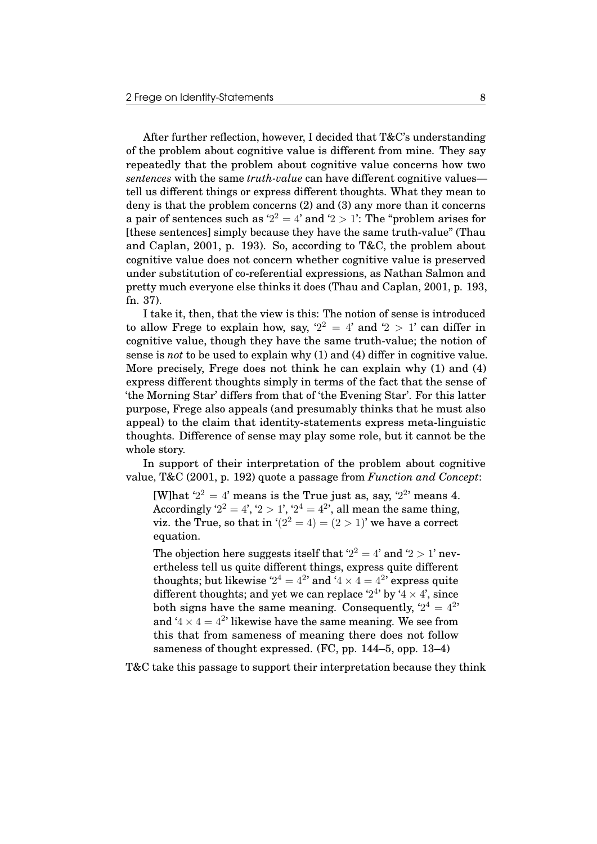After further reflection, however, I decided that T&C's understanding of the problem about cognitive value is different from mine. They say repeatedly that the problem about cognitive value concerns how two *sentences* with the same *truth-value* can have different cognitive values tell us different things or express different thoughts. What they mean to deny is that the problem concerns (2) and (3) any more than it concerns a pair of sentences such as ' $2^2 = 4$ ' and ' $2 > 1$ ': The "problem arises for [these sentences] simply because they have the same truth-value" (Thau and Caplan, 2001, p. 193). So, according to T&C, the problem about cognitive value does not concern whether cognitive value is preserved under substitution of co-referential expressions, as Nathan Salmon and pretty much everyone else thinks it does (Thau and Caplan, 2001, p. 193, fn. 37).

I take it, then, that the view is this: The notion of sense is introduced to allow Frege to explain how, say,  $2^2 = 4$  and  $2 > 1$  can differ in cognitive value, though they have the same truth-value; the notion of sense is *not* to be used to explain why (1) and (4) differ in cognitive value. More precisely, Frege does not think he can explain why (1) and (4) express different thoughts simply in terms of the fact that the sense of 'the Morning Star' differs from that of 'the Evening Star'. For this latter purpose, Frege also appeals (and presumably thinks that he must also appeal) to the claim that identity-statements express meta-linguistic thoughts. Difference of sense may play some role, but it cannot be the whole story.

In support of their interpretation of the problem about cognitive value, T&C (2001, p. 192) quote a passage from *Function and Concept*:

[W]hat  $2^2 = 4$ ' means is the True just as, say,  $2^2$ ' means 4. Accordingly '2<sup>2</sup> = 4', '2 > 1', '2<sup>4</sup> = 4<sup>2</sup>', all mean the same thing, viz. the True, so that in  $(2^2 = 4) = (2 > 1)$ ' we have a correct equation.

The objection here suggests itself that  $2^2 = 4$  and  $2 > 1$  nevertheless tell us quite different things, express quite different thoughts; but likewise  $2^4 = 4^{2}$  and  $4 \times 4 = 4^{2}$  express quite different thoughts; and yet we can replace '2<sup>4</sup>' by '4  $\times$  4', since both signs have the same meaning. Consequently,  $2^4 = 4^{24}$ and ' $4 \times 4 = 4^{2}$ ' likewise have the same meaning. We see from this that from sameness of meaning there does not follow sameness of thought expressed. (FC, pp. 144–5, opp. 13–4)

T&C take this passage to support their interpretation because they think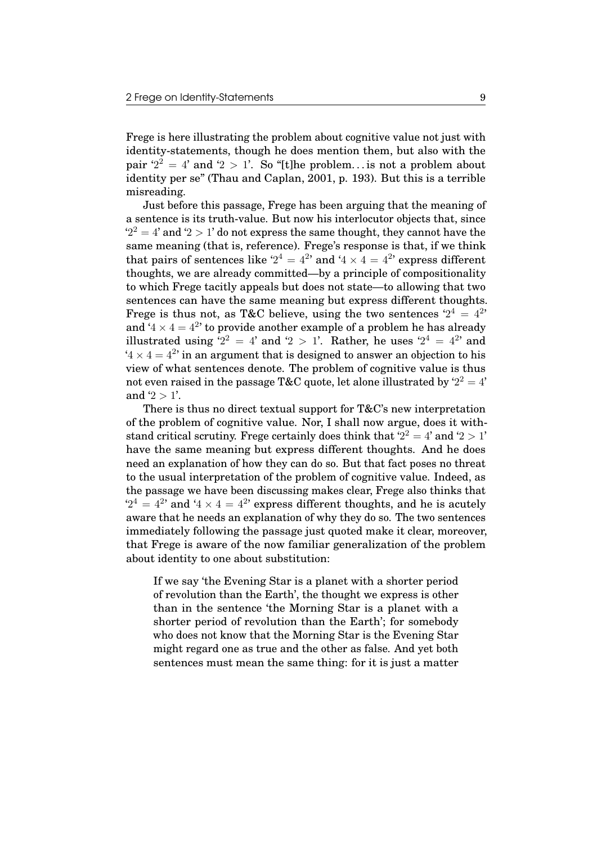Frege is here illustrating the problem about cognitive value not just with identity-statements, though he does mention them, but also with the pair  $2^2 = 4$  and  $2 > 1$ . So "[t]he problem... is not a problem about identity per se" (Thau and Caplan, 2001, p. 193). But this is a terrible misreading.

Just before this passage, Frege has been arguing that the meaning of a sentence is its truth-value. But now his interlocutor objects that, since  $2^2 = 4$ ' and  $2 > 1$ ' do not express the same thought, they cannot have the same meaning (that is, reference). Frege's response is that, if we think that pairs of sentences like  $2^4 = 4^{2}$  and  $4 \times 4 = 4^{2}$  express different thoughts, we are already committed—by a principle of compositionality to which Frege tacitly appeals but does not state—to allowing that two sentences can have the same meaning but express different thoughts. Frege is thus not, as T&C believe, using the two sentences  $2^4 = 4^{24}$ and '4  $\times$  4 = 4<sup>2</sup>' to provide another example of a problem he has already illustrated using '2<sup>2</sup> = 4' and '2 > 1'. Rather, he uses '2<sup>4</sup> = 4<sup>2</sup>' and  $4 \times 4 = 4^{2}$  in an argument that is designed to answer an objection to his view of what sentences denote. The problem of cognitive value is thus not even raised in the passage T&C quote, let alone illustrated by  $`2^2=4`$ and  $2 > 1$ '.

There is thus no direct textual support for T&C's new interpretation of the problem of cognitive value. Nor, I shall now argue, does it withstand critical scrutiny. Frege certainly does think that  $2^2 = 4$  and  $2 > 1$ have the same meaning but express different thoughts. And he does need an explanation of how they can do so. But that fact poses no threat to the usual interpretation of the problem of cognitive value. Indeed, as the passage we have been discussing makes clear, Frege also thinks that  $2^4 = 4^{2}$  and  $4 \times 4 = 4^{2}$  express different thoughts, and he is acutely aware that he needs an explanation of why they do so. The two sentences immediately following the passage just quoted make it clear, moreover, that Frege is aware of the now familiar generalization of the problem about identity to one about substitution:

If we say 'the Evening Star is a planet with a shorter period of revolution than the Earth', the thought we express is other than in the sentence 'the Morning Star is a planet with a shorter period of revolution than the Earth'; for somebody who does not know that the Morning Star is the Evening Star might regard one as true and the other as false. And yet both sentences must mean the same thing: for it is just a matter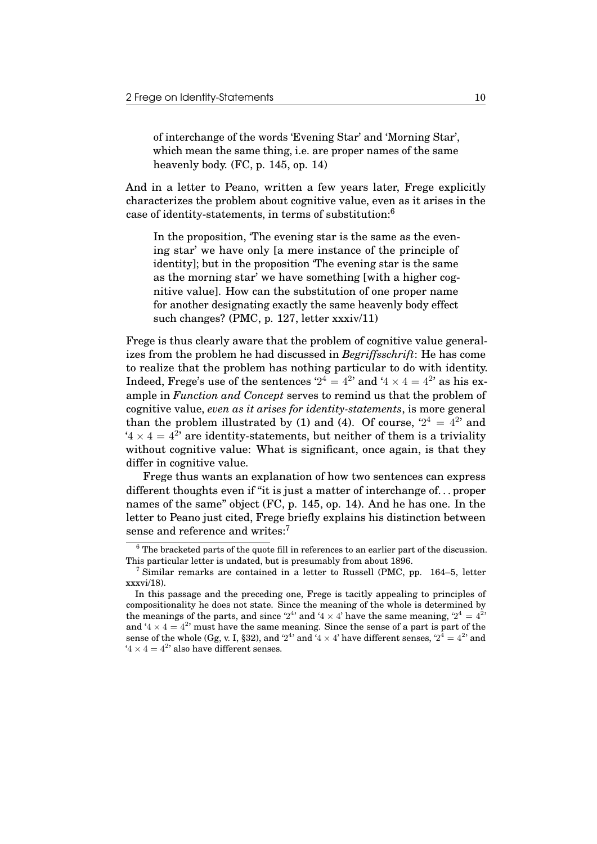of interchange of the words 'Evening Star' and 'Morning Star', which mean the same thing, i.e. are proper names of the same heavenly body. (FC, p. 145, op. 14)

And in a letter to Peano, written a few years later, Frege explicitly characterizes the problem about cognitive value, even as it arises in the case of identity-statements, in terms of substitution:<sup>6</sup>

In the proposition, 'The evening star is the same as the evening star' we have only [a mere instance of the principle of identity]; but in the proposition 'The evening star is the same as the morning star' we have something [with a higher cognitive value]. How can the substitution of one proper name for another designating exactly the same heavenly body effect such changes? (PMC, p. 127, letter xxxiv/11)

Frege is thus clearly aware that the problem of cognitive value generalizes from the problem he had discussed in *Begriffsschrift*: He has come to realize that the problem has nothing particular to do with identity. Indeed, Frege's use of the sentences '2<sup>4</sup> = 4<sup>2</sup>' and '4  $\times$  4 = 4<sup>2</sup>' as his example in *Function and Concept* serves to remind us that the problem of cognitive value, *even as it arises for identity-statements*, is more general than the problem illustrated by (1) and (4). Of course,  $2^4 = 4^{2}$  and  $4 \times 4 = 4^{2}$  are identity-statements, but neither of them is a triviality without cognitive value: What is significant, once again, is that they differ in cognitive value.

Frege thus wants an explanation of how two sentences can express different thoughts even if "it is just a matter of interchange of. . . proper names of the same" object (FC, p. 145, op. 14). And he has one. In the letter to Peano just cited, Frege briefly explains his distinction between sense and reference and writes:<sup>7</sup>

<sup>6</sup> The bracketed parts of the quote fill in references to an earlier part of the discussion. This particular letter is undated, but is presumably from about 1896.

 $7$  Similar remarks are contained in a letter to Russell (PMC, pp. 164–5, letter xxxvi/18).

In this passage and the preceding one, Frege is tacitly appealing to principles of compositionality he does not state. Since the meaning of the whole is determined by the meanings of the parts, and since '2<sup>4</sup>' and '4  $\times$  4' have the same meaning, '2<sup>4</sup> = 4<sup>2</sup>' and '4  $\times$  4 = 4<sup>2</sup>' must have the same meaning. Since the sense of a part is part of the sense of the whole (Gg, v. I, §32), and '2<sup>4</sup>' and '4  $\times$  4' have different senses, '2<sup>4</sup> = 4<sup>2</sup>' and  $4 \times 4 = 4^2$  also have different senses.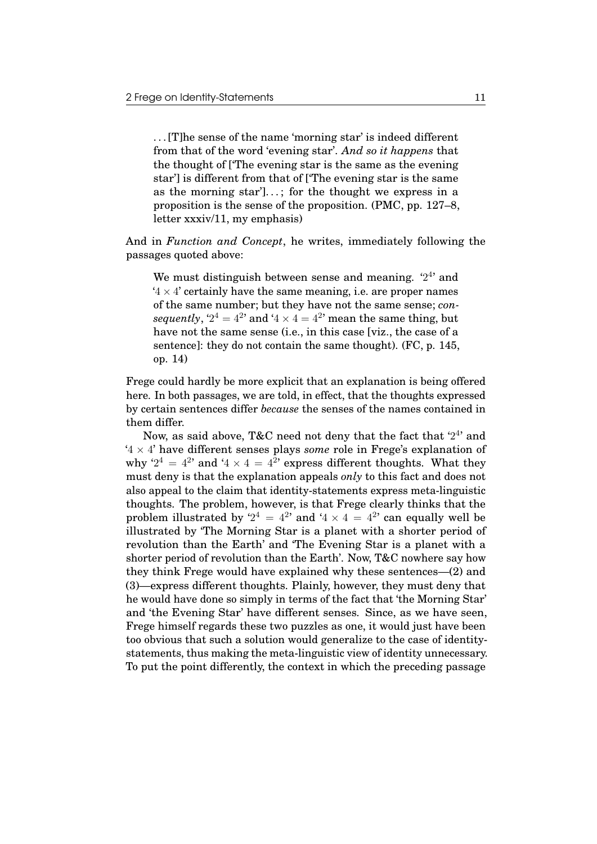. . . [T]he sense of the name 'morning star' is indeed different from that of the word 'evening star'. *And so it happens* that the thought of ['The evening star is the same as the evening star'] is different from that of ['The evening star is the same as the morning star']...; for the thought we express in a proposition is the sense of the proposition. (PMC, pp. 127–8, letter xxxiv/11, my emphasis)

And in *Function and Concept*, he writes, immediately following the passages quoted above:

We must distinguish between sense and meaning.  $2^4$  and  $4 \times 4'$  certainly have the same meaning, i.e. are proper names of the same number; but they have not the same sense; *con*sequently,  $2^4 = 4^2$  and  $4 \times 4 = 4^2$  mean the same thing, but have not the same sense (i.e., in this case [viz., the case of a sentence]: they do not contain the same thought). (FC, p. 145, op. 14)

Frege could hardly be more explicit that an explanation is being offered here. In both passages, we are told, in effect, that the thoughts expressed by certain sentences differ *because* the senses of the names contained in them differ.

Now, as said above, T&C need not deny that the fact that '2<sup>4</sup>' and  $4 \times 4'$  have different senses plays *some* role in Frege's explanation of why '2<sup>4</sup> = 4<sup>2</sup>' and '4  $\times$  4 = 4<sup>2</sup>' express different thoughts. What they must deny is that the explanation appeals *only* to this fact and does not also appeal to the claim that identity-statements express meta-linguistic thoughts. The problem, however, is that Frege clearly thinks that the problem illustrated by  $2^4 = 4^{2}$  and  $4 \times 4 = 4^{2}$  can equally well be illustrated by 'The Morning Star is a planet with a shorter period of revolution than the Earth' and 'The Evening Star is a planet with a shorter period of revolution than the Earth'. Now, T&C nowhere say how they think Frege would have explained why these sentences—(2) and (3)—express different thoughts. Plainly, however, they must deny that he would have done so simply in terms of the fact that 'the Morning Star' and 'the Evening Star' have different senses. Since, as we have seen, Frege himself regards these two puzzles as one, it would just have been too obvious that such a solution would generalize to the case of identitystatements, thus making the meta-linguistic view of identity unnecessary. To put the point differently, the context in which the preceding passage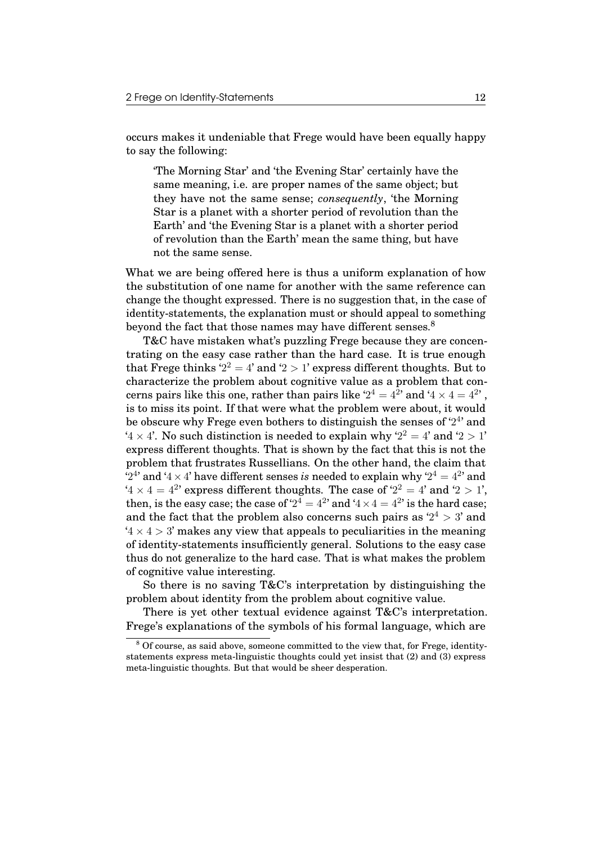occurs makes it undeniable that Frege would have been equally happy to say the following:

'The Morning Star' and 'the Evening Star' certainly have the same meaning, i.e. are proper names of the same object; but they have not the same sense; *consequently*, 'the Morning Star is a planet with a shorter period of revolution than the Earth' and 'the Evening Star is a planet with a shorter period of revolution than the Earth' mean the same thing, but have not the same sense.

What we are being offered here is thus a uniform explanation of how the substitution of one name for another with the same reference can change the thought expressed. There is no suggestion that, in the case of identity-statements, the explanation must or should appeal to something beyond the fact that those names may have different senses.<sup>8</sup>

T&C have mistaken what's puzzling Frege because they are concentrating on the easy case rather than the hard case. It is true enough that Frege thinks '2<sup>2</sup> = 4' and '2 > 1' express different thoughts. But to characterize the problem about cognitive value as a problem that concerns pairs like this one, rather than pairs like ' $2^4 = 4^2$ ' and '4  $\times$  4  $= 4^2$ ' , is to miss its point. If that were what the problem were about, it would be obscure why Frege even bothers to distinguish the senses of '24' and  $4 \times 4$ . No such distinction is needed to explain why  $2^2 = 4$  and  $2 > 1$ express different thoughts. That is shown by the fact that this is not the problem that frustrates Russellians. On the other hand, the claim that  $2^{4}$  and  $4 \times 4$ ' have different senses *is* needed to explain why  $2^4 = 4^{2}$ ' and  $4 \times 4 = 4^2$  express different thoughts. The case of  $2^2 = 4$  and  $2 > 1$ , then, is the easy case; the case of '2<sup>4</sup> = 4<sup>2</sup>' and '4  $\times$  4 = 4<sup>2</sup>' is the hard case; and the fact that the problem also concerns such pairs as  $2^4 > 3'$  and  $4 \times 4 > 3$ ' makes any view that appeals to peculiarities in the meaning of identity-statements insufficiently general. Solutions to the easy case thus do not generalize to the hard case. That is what makes the problem of cognitive value interesting.

So there is no saving T&C's interpretation by distinguishing the problem about identity from the problem about cognitive value.

There is yet other textual evidence against T&C's interpretation. Frege's explanations of the symbols of his formal language, which are

<sup>8</sup> Of course, as said above, someone committed to the view that, for Frege, identitystatements express meta-linguistic thoughts could yet insist that (2) and (3) express meta-linguistic thoughts. But that would be sheer desperation.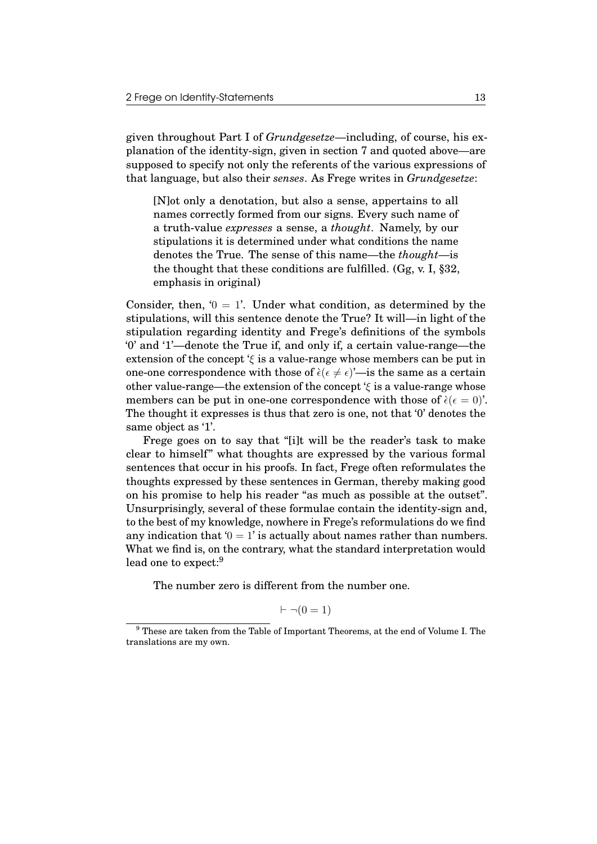given throughout Part I of *Grundgesetze*—including, of course, his explanation of the identity-sign, given in section 7 and quoted above—are supposed to specify not only the referents of the various expressions of that language, but also their *senses*. As Frege writes in *Grundgesetze*:

[N]ot only a denotation, but also a sense, appertains to all names correctly formed from our signs. Every such name of a truth-value *expresses* a sense, a *thought*. Namely, by our stipulations it is determined under what conditions the name denotes the True. The sense of this name—the *thought*—is the thought that these conditions are fulfilled. (Gg, v. I, §32, emphasis in original)

Consider, then,  $0 = 1$ . Under what condition, as determined by the stipulations, will this sentence denote the True? It will—in light of the stipulation regarding identity and Frege's definitions of the symbols '0' and '1'—denote the True if, and only if, a certain value-range—the extension of the concept ' $\xi$  is a value-range whose members can be put in one-one correspondence with those of  $\hat{\epsilon}$  ( $\epsilon \neq \epsilon$ )'—is the same as a certain other value-range—the extension of the concept  $\xi$  is a value-range whose members can be put in one-one correspondence with those of  $\dot{\epsilon}(\epsilon = 0)$ . The thought it expresses is thus that zero is one, not that '0' denotes the same object as '1'.

Frege goes on to say that "[i]t will be the reader's task to make clear to himself" what thoughts are expressed by the various formal sentences that occur in his proofs. In fact, Frege often reformulates the thoughts expressed by these sentences in German, thereby making good on his promise to help his reader "as much as possible at the outset". Unsurprisingly, several of these formulae contain the identity-sign and, to the best of my knowledge, nowhere in Frege's reformulations do we find any indication that  $0 = 1$  is actually about names rather than numbers. What we find is, on the contrary, what the standard interpretation would lead one to expect:<sup>9</sup>

The number zero is different from the number one.

$$
\vdash \neg (0 = 1)
$$

<sup>9</sup> These are taken from the Table of Important Theorems, at the end of Volume I. The translations are my own.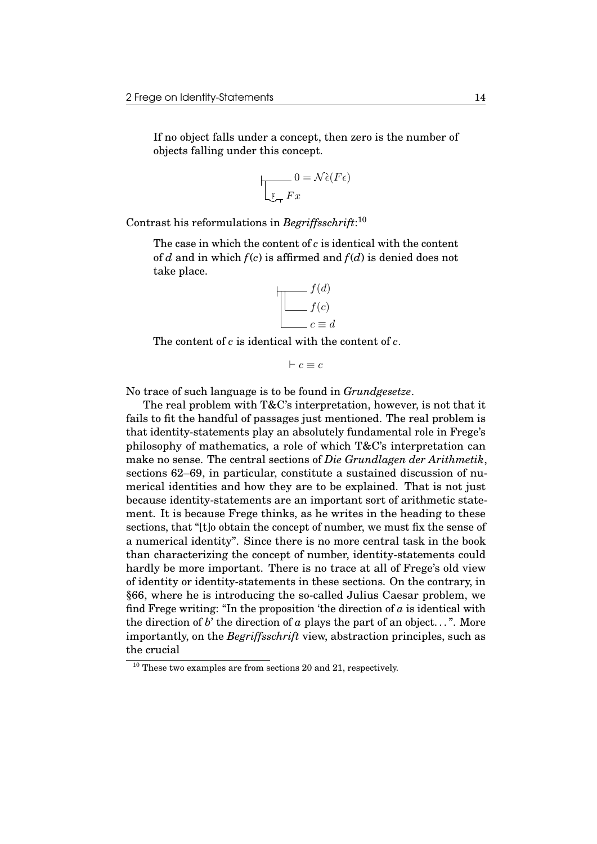If no object falls under a concept, then zero is the number of objects falling under this concept.

$$
0 = \mathcal{N}\hat{\epsilon}(F\epsilon)
$$
  

$$
v = \mathcal{N}\hat{\epsilon}(F\epsilon)
$$

Contrast his reformulations in *Begriffsschrift*: 10

The case in which the content of *c* is identical with the content of *d* and in which  $f(c)$  is affirmed and  $f(d)$  is denied does not take place.

$$
\begin{array}{c}\n f(d) \\
f(c) \\
c \equiv d\n\end{array}
$$

The content of *c* is identical with the content of *c*.

 $\vdash c \equiv c$ 

No trace of such language is to be found in *Grundgesetze*.

The real problem with T&C's interpretation, however, is not that it fails to fit the handful of passages just mentioned. The real problem is that identity-statements play an absolutely fundamental role in Frege's philosophy of mathematics, a role of which T&C's interpretation can make no sense. The central sections of *Die Grundlagen der Arithmetik*, sections 62–69, in particular, constitute a sustained discussion of numerical identities and how they are to be explained. That is not just because identity-statements are an important sort of arithmetic statement. It is because Frege thinks, as he writes in the heading to these sections, that "[t]o obtain the concept of number, we must fix the sense of a numerical identity". Since there is no more central task in the book than characterizing the concept of number, identity-statements could hardly be more important. There is no trace at all of Frege's old view of identity or identity-statements in these sections. On the contrary, in §66, where he is introducing the so-called Julius Caesar problem, we find Frege writing: "In the proposition 'the direction of  $\alpha$  is identical with the direction of *b*' the direction of *a* plays the part of an object...". More importantly, on the *Begriffsschrift* view, abstraction principles, such as the crucial

 $10$  These two examples are from sections 20 and 21, respectively.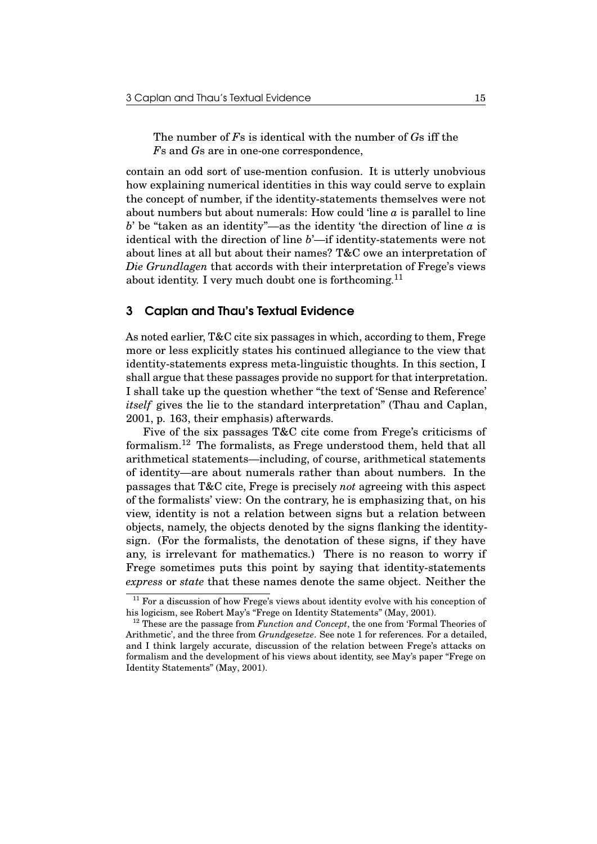The number of *F*s is identical with the number of *G*s iff the *F*s and *G*s are in one-one correspondence,

contain an odd sort of use-mention confusion. It is utterly unobvious how explaining numerical identities in this way could serve to explain the concept of number, if the identity-statements themselves were not about numbers but about numerals: How could 'line *a* is parallel to line *b*' be "taken as an identity"—as the identity 'the direction of line *a* is identical with the direction of line *b*'—if identity-statements were not about lines at all but about their names? T&C owe an interpretation of *Die Grundlagen* that accords with their interpretation of Frege's views about identity. I very much doubt one is forthcoming.<sup>11</sup>

## 3 Caplan and Thau's Textual Evidence

As noted earlier, T&C cite six passages in which, according to them, Frege more or less explicitly states his continued allegiance to the view that identity-statements express meta-linguistic thoughts. In this section, I shall argue that these passages provide no support for that interpretation. I shall take up the question whether "the text of 'Sense and Reference' *itself* gives the lie to the standard interpretation" (Thau and Caplan, 2001, p. 163, their emphasis) afterwards.

Five of the six passages T&C cite come from Frege's criticisms of formalism.<sup>12</sup> The formalists, as Frege understood them, held that all arithmetical statements—including, of course, arithmetical statements of identity—are about numerals rather than about numbers. In the passages that T&C cite, Frege is precisely *not* agreeing with this aspect of the formalists' view: On the contrary, he is emphasizing that, on his view, identity is not a relation between signs but a relation between objects, namely, the objects denoted by the signs flanking the identitysign. (For the formalists, the denotation of these signs, if they have any, is irrelevant for mathematics.) There is no reason to worry if Frege sometimes puts this point by saying that identity-statements *express* or *state* that these names denote the same object. Neither the

 $11$  For a discussion of how Frege's views about identity evolve with his conception of his logicism, see Robert May's "Frege on Identity Statements" (May, 2001).

<sup>&</sup>lt;sup>12</sup> These are the passage from *Function and Concept*, the one from 'Formal Theories of Arithmetic', and the three from *Grundgesetze*. See note 1 for references. For a detailed, and I think largely accurate, discussion of the relation between Frege's attacks on formalism and the development of his views about identity, see May's paper "Frege on Identity Statements" (May, 2001).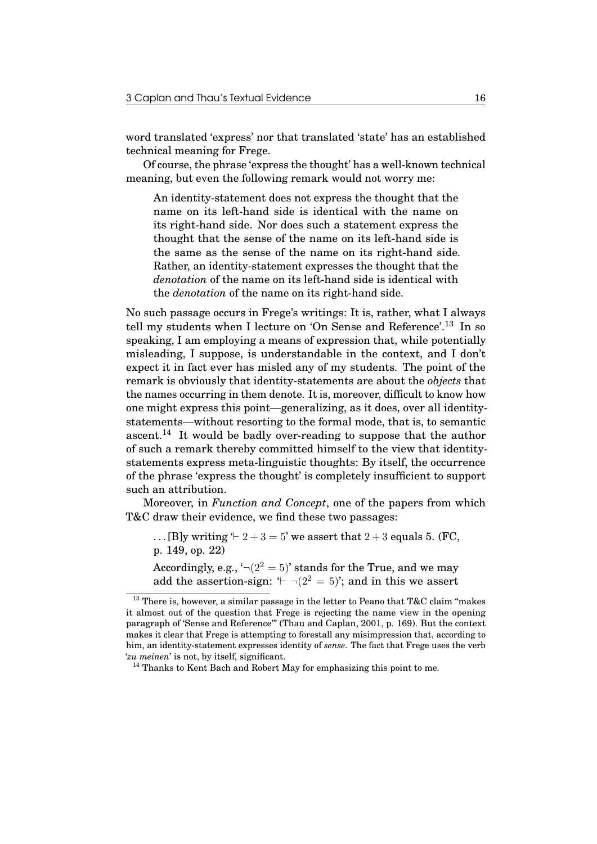word translated 'express' nor that translated 'state' has an established technical meaning for Frege.

Of course, the phrase 'express the thought' has a well-known technical meaning, but even the following remark would not worry me:

An identity-statement does not express the thought that the name on its left-hand side is identical with the name on its right-hand side. Nor does such a statement express the thought that the sense of the name on its left-hand side is the same as the sense of the name on its right-hand side. Rather, an identity-statement expresses the thought that the *denotation* of the name on its left-hand side is identical with the *denotation* of the name on its right-hand side.

No such passage occurs in Frege's writings: It is, rather, what I always tell my students when I lecture on 'On Sense and Reference'.<sup>13</sup> In so speaking, I am employing a means of expression that, while potentially misleading, I suppose, is understandable in the context, and I don't expect it in fact ever has misled any of my students. The point of the remark is obviously that identity-statements are about the *objects* that the names occurring in them denote. It is, moreover, difficult to know how one might express this point—generalizing, as it does, over all identitystatements—without resorting to the formal mode, that is, to semantic ascent.<sup>14</sup> It would be badly over-reading to suppose that the author of such a remark thereby committed himself to the view that identitystatements express meta-linguistic thoughts: By itself, the occurrence of the phrase 'express the thought' is completely insufficient to support such an attribution.

Moreover, in *Function and Concept*, one of the papers from which T&C draw their evidence, we find these two passages:

... [B]y writing  $\div 2 + 3 = 5$ ' we assert that  $2 + 3$  equals 5. (FC, p. 149, op. 22)

Accordingly, e.g.,  $\lnot(2^2 = 5)$  stands for the True, and we may add the assertion-sign:  $\angle \neg (2^2 = 5)$ ; and in this we assert

 $^{13}$  There is, however, a similar passage in the letter to Peano that T&C claim "makes it almost out of the question that Frege is rejecting the name view in the opening paragraph of 'Sense and Reference'" (Thau and Caplan, 2001, p. 169). But the context makes it clear that Frege is attempting to forestall any misimpression that, according to him, an identity-statement expresses identity of *sense*. The fact that Frege uses the verb '*zu meinen*' is not, by itself, significant.

 $^{14}$  Thanks to Kent Bach and Robert May for emphasizing this point to me.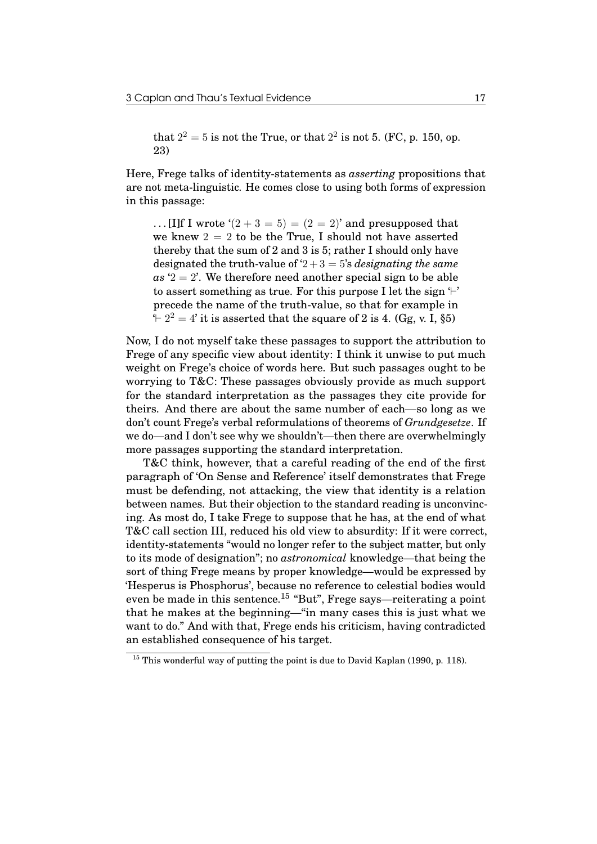that  $2^2 = 5$  is not the True, or that  $2^2$  is not 5. (FC, p. 150, op. 23)

Here, Frege talks of identity-statements as *asserting* propositions that are not meta-linguistic. He comes close to using both forms of expression in this passage:

... [I]f I wrote  $(2+3=5) = (2=2)$  and presupposed that we knew  $2 = 2$  to be the True, I should not have asserted thereby that the sum of 2 and 3 is 5; rather I should only have designated the truth-value of  $2 + 3 = 5$ 's *designating the same*  $as '2 = 2'$ . We therefore need another special sign to be able to assert something as true. For this purpose I let the sign  $\vdash'$ precede the name of the truth-value, so that for example in  $+ 2^2 = 4$  it is asserted that the square of 2 is 4. (Gg, v. I, §5)

Now, I do not myself take these passages to support the attribution to Frege of any specific view about identity: I think it unwise to put much weight on Frege's choice of words here. But such passages ought to be worrying to T&C: These passages obviously provide as much support for the standard interpretation as the passages they cite provide for theirs. And there are about the same number of each—so long as we don't count Frege's verbal reformulations of theorems of *Grundgesetze*. If we do—and I don't see why we shouldn't—then there are overwhelmingly more passages supporting the standard interpretation.

T&C think, however, that a careful reading of the end of the first paragraph of 'On Sense and Reference' itself demonstrates that Frege must be defending, not attacking, the view that identity is a relation between names. But their objection to the standard reading is unconvincing. As most do, I take Frege to suppose that he has, at the end of what T&C call section III, reduced his old view to absurdity: If it were correct, identity-statements "would no longer refer to the subject matter, but only to its mode of designation"; no *astronomical* knowledge—that being the sort of thing Frege means by proper knowledge—would be expressed by 'Hesperus is Phosphorus', because no reference to celestial bodies would even be made in this sentence.<sup>15</sup> "But", Frege says—reiterating a point that he makes at the beginning—"in many cases this is just what we want to do." And with that, Frege ends his criticism, having contradicted an established consequence of his target.

 $15$  This wonderful way of putting the point is due to David Kaplan (1990, p. 118).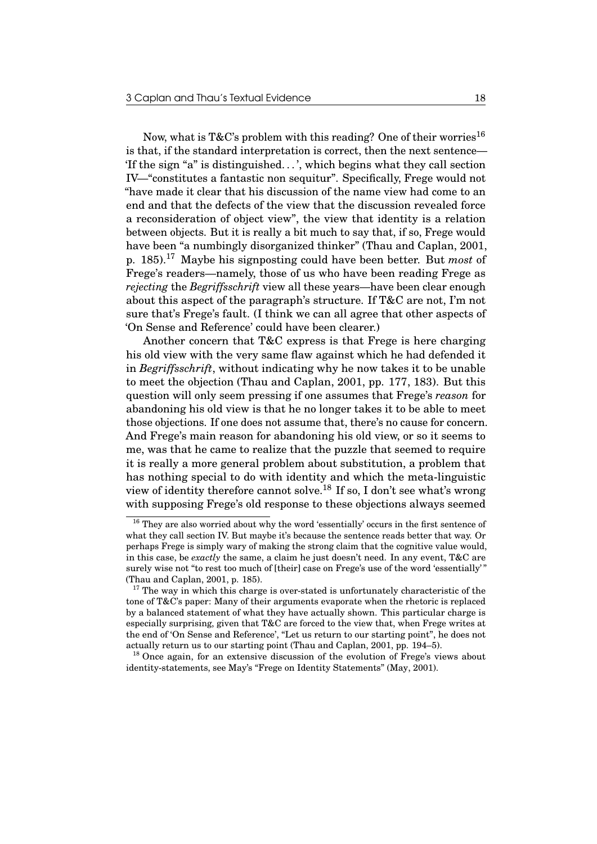Now, what is T&C's problem with this reading? One of their worries<sup>16</sup> is that, if the standard interpretation is correct, then the next sentence— 'If the sign "a" is distinguished. . . ', which begins what they call section IV—"constitutes a fantastic non sequitur". Specifically, Frege would not "have made it clear that his discussion of the name view had come to an end and that the defects of the view that the discussion revealed force a reconsideration of object view", the view that identity is a relation between objects. But it is really a bit much to say that, if so, Frege would have been "a numbingly disorganized thinker" (Thau and Caplan, 2001, p. 185).<sup>17</sup> Maybe his signposting could have been better. But *most* of Frege's readers—namely, those of us who have been reading Frege as *rejecting* the *Begriffsschrift* view all these years—have been clear enough about this aspect of the paragraph's structure. If T&C are not, I'm not sure that's Frege's fault. (I think we can all agree that other aspects of 'On Sense and Reference' could have been clearer.)

Another concern that T&C express is that Frege is here charging his old view with the very same flaw against which he had defended it in *Begriffsschrift*, without indicating why he now takes it to be unable to meet the objection (Thau and Caplan, 2001, pp. 177, 183). But this question will only seem pressing if one assumes that Frege's *reason* for abandoning his old view is that he no longer takes it to be able to meet those objections. If one does not assume that, there's no cause for concern. And Frege's main reason for abandoning his old view, or so it seems to me, was that he came to realize that the puzzle that seemed to require it is really a more general problem about substitution, a problem that has nothing special to do with identity and which the meta-linguistic view of identity therefore cannot solve.<sup>18</sup> If so, I don't see what's wrong with supposing Frege's old response to these objections always seemed

<sup>&</sup>lt;sup>16</sup> They are also worried about why the word 'essentially' occurs in the first sentence of what they call section IV. But maybe it's because the sentence reads better that way. Or perhaps Frege is simply wary of making the strong claim that the cognitive value would, in this case, be *exactly* the same, a claim he just doesn't need. In any event, T&C are surely wise not "to rest too much of [their] case on Frege's use of the word 'essentially' (Thau and Caplan, 2001, p. 185).

<sup>&</sup>lt;sup>17</sup> The way in which this charge is over-stated is unfortunately characteristic of the tone of T&C's paper: Many of their arguments evaporate when the rhetoric is replaced by a balanced statement of what they have actually shown. This particular charge is especially surprising, given that T&C are forced to the view that, when Frege writes at the end of 'On Sense and Reference', "Let us return to our starting point", he does not actually return us to our starting point (Thau and Caplan, 2001, pp. 194–5).

<sup>&</sup>lt;sup>18</sup> Once again, for an extensive discussion of the evolution of Frege's views about identity-statements, see May's "Frege on Identity Statements" (May, 2001).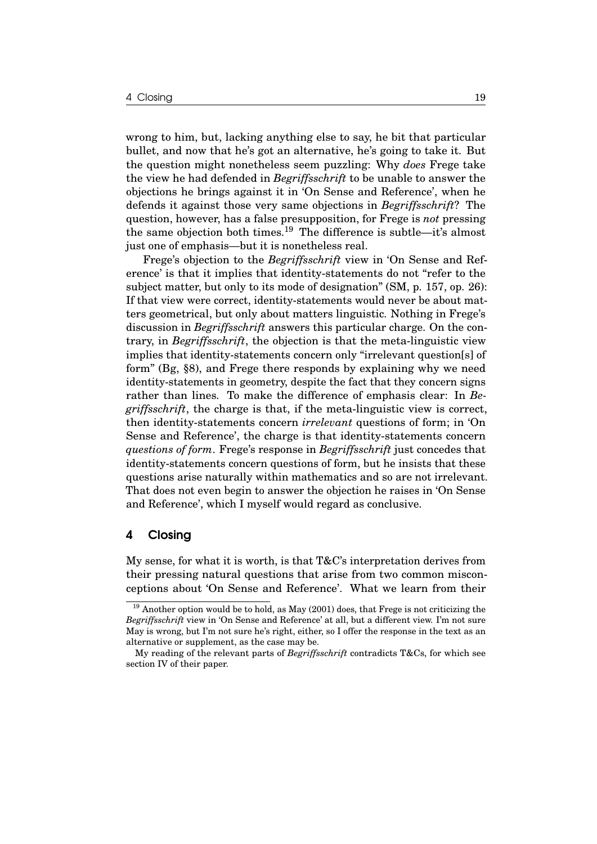wrong to him, but, lacking anything else to say, he bit that particular bullet, and now that he's got an alternative, he's going to take it. But the question might nonetheless seem puzzling: Why *does* Frege take the view he had defended in *Begriffsschrift* to be unable to answer the objections he brings against it in 'On Sense and Reference', when he defends it against those very same objections in *Begriffsschrift*? The question, however, has a false presupposition, for Frege is *not* pressing the same objection both times.<sup>19</sup> The difference is subtle—it's almost just one of emphasis—but it is nonetheless real.

Frege's objection to the *Begriffsschrift* view in 'On Sense and Reference' is that it implies that identity-statements do not "refer to the subject matter, but only to its mode of designation" (SM, p. 157, op. 26): If that view were correct, identity-statements would never be about matters geometrical, but only about matters linguistic. Nothing in Frege's discussion in *Begriffsschrift* answers this particular charge. On the contrary, in *Begriffsschrift*, the objection is that the meta-linguistic view implies that identity-statements concern only "irrelevant question[s] of form" (Bg, §8), and Frege there responds by explaining why we need identity-statements in geometry, despite the fact that they concern signs rather than lines. To make the difference of emphasis clear: In *Begriffsschrift*, the charge is that, if the meta-linguistic view is correct, then identity-statements concern *irrelevant* questions of form; in 'On Sense and Reference', the charge is that identity-statements concern *questions of form*. Frege's response in *Begriffsschrift* just concedes that identity-statements concern questions of form, but he insists that these questions arise naturally within mathematics and so are not irrelevant. That does not even begin to answer the objection he raises in 'On Sense and Reference', which I myself would regard as conclusive.

## 4 Closing

My sense, for what it is worth, is that  $T\&C$ 's interpretation derives from their pressing natural questions that arise from two common misconceptions about 'On Sense and Reference'. What we learn from their

 $19$  Another option would be to hold, as May (2001) does, that Frege is not criticizing the *Begriffsschrift* view in 'On Sense and Reference' at all, but a different view. I'm not sure May is wrong, but I'm not sure he's right, either, so I offer the response in the text as an alternative or supplement, as the case may be.

My reading of the relevant parts of *Begriffsschrift* contradicts T&Cs, for which see section IV of their paper.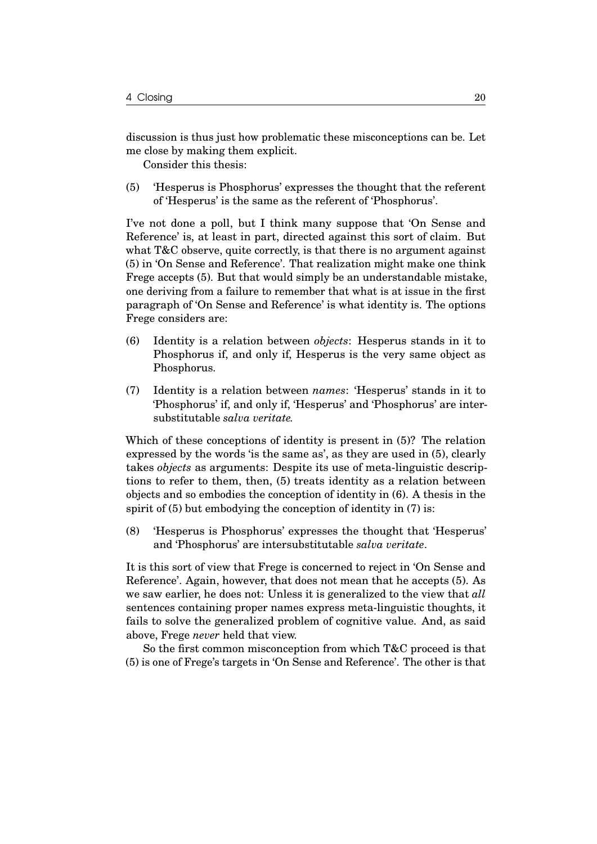discussion is thus just how problematic these misconceptions can be. Let me close by making them explicit.

Consider this thesis:

(5) 'Hesperus is Phosphorus' expresses the thought that the referent of 'Hesperus' is the same as the referent of 'Phosphorus'.

I've not done a poll, but I think many suppose that 'On Sense and Reference' is, at least in part, directed against this sort of claim. But what T&C observe, quite correctly, is that there is no argument against (5) in 'On Sense and Reference'. That realization might make one think Frege accepts (5). But that would simply be an understandable mistake, one deriving from a failure to remember that what is at issue in the first paragraph of 'On Sense and Reference' is what identity is. The options Frege considers are:

- (6) Identity is a relation between *objects*: Hesperus stands in it to Phosphorus if, and only if, Hesperus is the very same object as Phosphorus.
- (7) Identity is a relation between *names*: 'Hesperus' stands in it to 'Phosphorus' if, and only if, 'Hesperus' and 'Phosphorus' are intersubstitutable *salva veritate.*

Which of these conceptions of identity is present in (5)? The relation expressed by the words 'is the same as', as they are used in (5), clearly takes *objects* as arguments: Despite its use of meta-linguistic descriptions to refer to them, then, (5) treats identity as a relation between objects and so embodies the conception of identity in (6). A thesis in the spirit of (5) but embodying the conception of identity in (7) is:

(8) 'Hesperus is Phosphorus' expresses the thought that 'Hesperus' and 'Phosphorus' are intersubstitutable *salva veritate*.

It is this sort of view that Frege is concerned to reject in 'On Sense and Reference'. Again, however, that does not mean that he accepts (5). As we saw earlier, he does not: Unless it is generalized to the view that *all* sentences containing proper names express meta-linguistic thoughts, it fails to solve the generalized problem of cognitive value. And, as said above, Frege *never* held that view.

So the first common misconception from which T&C proceed is that (5) is one of Frege's targets in 'On Sense and Reference'. The other is that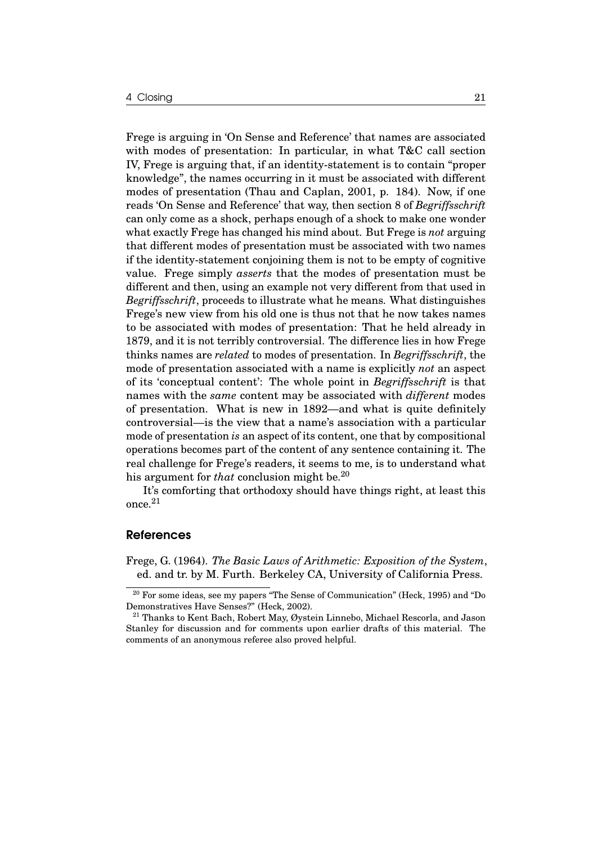Frege is arguing in 'On Sense and Reference' that names are associated with modes of presentation: In particular, in what T&C call section IV, Frege is arguing that, if an identity-statement is to contain "proper knowledge", the names occurring in it must be associated with different modes of presentation (Thau and Caplan, 2001, p. 184). Now, if one reads 'On Sense and Reference' that way, then section 8 of *Begriffsschrift* can only come as a shock, perhaps enough of a shock to make one wonder what exactly Frege has changed his mind about. But Frege is *not* arguing that different modes of presentation must be associated with two names if the identity-statement conjoining them is not to be empty of cognitive value. Frege simply *asserts* that the modes of presentation must be different and then, using an example not very different from that used in *Begriffsschrift*, proceeds to illustrate what he means. What distinguishes Frege's new view from his old one is thus not that he now takes names to be associated with modes of presentation: That he held already in 1879, and it is not terribly controversial. The difference lies in how Frege thinks names are *related* to modes of presentation. In *Begriffsschrift*, the mode of presentation associated with a name is explicitly *not* an aspect of its 'conceptual content': The whole point in *Begriffsschrift* is that names with the *same* content may be associated with *different* modes of presentation. What is new in 1892—and what is quite definitely controversial—is the view that a name's association with a particular mode of presentation *is* an aspect of its content, one that by compositional operations becomes part of the content of any sentence containing it. The real challenge for Frege's readers, it seems to me, is to understand what his argument for *that* conclusion might be.<sup>20</sup>

It's comforting that orthodoxy should have things right, at least this once. $\rm ^{21}$ 

#### References

Frege, G. (1964). *The Basic Laws of Arithmetic: Exposition of the System*, ed. and tr. by M. Furth. Berkeley CA, University of California Press.

<sup>&</sup>lt;sup>20</sup> For some ideas, see my papers "The Sense of Communication" (Heck, 1995) and "Do Demonstratives Have Senses?" (Heck, 2002).

<sup>&</sup>lt;sup>21</sup> Thanks to Kent Bach, Robert May, Øystein Linnebo, Michael Rescorla, and Jason Stanley for discussion and for comments upon earlier drafts of this material. The comments of an anonymous referee also proved helpful.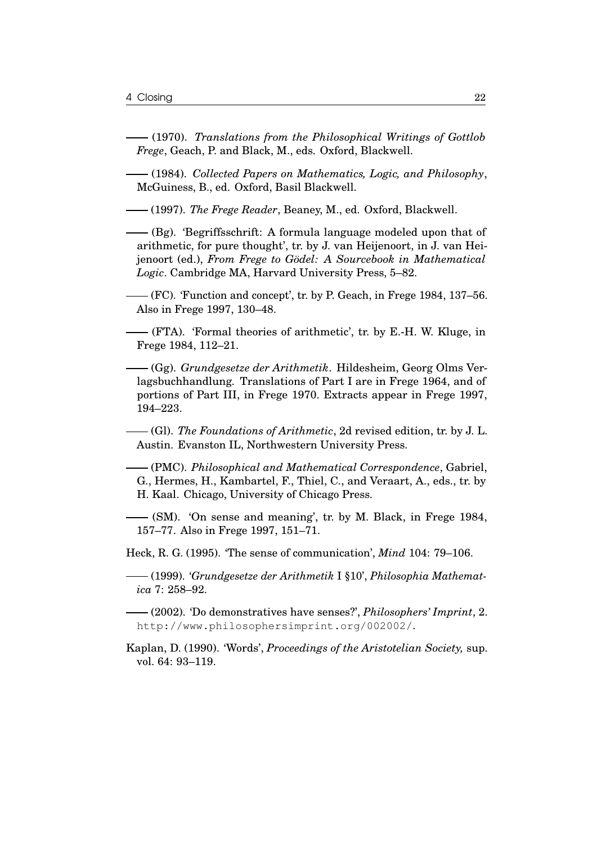- (1970). *Translations from the Philosophical Writings of Gottlob Frege*, Geach, P. and Black, M., eds. Oxford, Blackwell.
- (1984). *Collected Papers on Mathematics, Logic, and Philosophy*, McGuiness, B., ed. Oxford, Basil Blackwell.
- (1997). *The Frege Reader*, Beaney, M., ed. Oxford, Blackwell.
- (Bg). 'Begriffsschrift: A formula language modeled upon that of arithmetic, for pure thought', tr. by J. van Heijenoort, in J. van Heijenoort (ed.), *From Frege to Gödel: A Sourcebook in Mathematical Logic*. Cambridge MA, Harvard University Press, 5–82.
- (FC). 'Function and concept', tr. by P. Geach, in Frege 1984, 137–56. Also in Frege 1997, 130–48.
- (FTA). 'Formal theories of arithmetic', tr. by E.-H. W. Kluge, in Frege 1984, 112–21.
- (Gg). *Grundgesetze der Arithmetik*. Hildesheim, Georg Olms Verlagsbuchhandlung. Translations of Part I are in Frege 1964, and of portions of Part III, in Frege 1970. Extracts appear in Frege 1997, 194–223.
- (Gl). *The Foundations of Arithmetic*, 2d revised edition, tr. by J. L. Austin. Evanston IL, Northwestern University Press.
- (PMC). *Philosophical and Mathematical Correspondence*, Gabriel, G., Hermes, H., Kambartel, F., Thiel, C., and Veraart, A., eds., tr. by H. Kaal. Chicago, University of Chicago Press.
- (SM). 'On sense and meaning', tr. by M. Black, in Frege 1984, 157–77. Also in Frege 1997, 151–71.
- Heck, R. G. (1995). 'The sense of communication', *Mind* 104: 79–106.
- (1999). '*Grundgesetze der Arithmetik* I §10', *Philosophia Mathematica* 7: 258–92.
- (2002). 'Do demonstratives have senses?', *Philosophers' Imprint*, 2. http://www.philosophersimprint.org/002002/.
- Kaplan, D. (1990). 'Words', *Proceedings of the Aristotelian Society,* sup. vol. 64: 93–119.